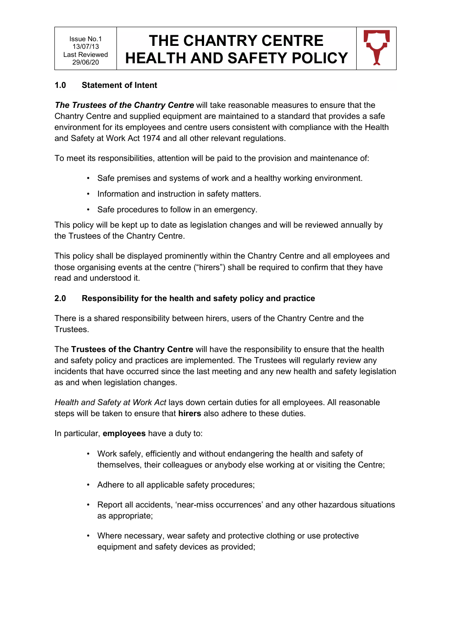

### **1.0 Statement of Intent**

*The Trustees of the Chantry Centre* will take reasonable measures to ensure that the Chantry Centre and supplied equipment are maintained to a standard that provides a safe environment for its employees and centre users consistent with compliance with the Health and Safety at Work Act 1974 and all other relevant regulations.

To meet its responsibilities, attention will be paid to the provision and maintenance of:

- Safe premises and systems of work and a healthy working environment.
- Information and instruction in safety matters.
- Safe procedures to follow in an emergency.

This policy will be kept up to date as legislation changes and will be reviewed annually by the Trustees of the Chantry Centre.

This policy shall be displayed prominently within the Chantry Centre and all employees and those organising events at the centre ("hirers") shall be required to confirm that they have read and understood it.

### **2.0 Responsibility for the health and safety policy and practice**

There is a shared responsibility between hirers, users of the Chantry Centre and the Trustees.

The **Trustees of the Chantry Centre** will have the responsibility to ensure that the health and safety policy and practices are implemented. The Trustees will regularly review any incidents that have occurred since the last meeting and any new health and safety legislation as and when legislation changes.

*Health and Safety at Work Act* lays down certain duties for all employees. All reasonable steps will be taken to ensure that **hirers** also adhere to these duties.

In particular, **employees** have a duty to:

- Work safely, efficiently and without endangering the health and safety of themselves, their colleagues or anybody else working at or visiting the Centre;
- Adhere to all applicable safety procedures;
- Report all accidents, 'near-miss occurrences' and any other hazardous situations as appropriate;
- Where necessary, wear safety and protective clothing or use protective equipment and safety devices as provided;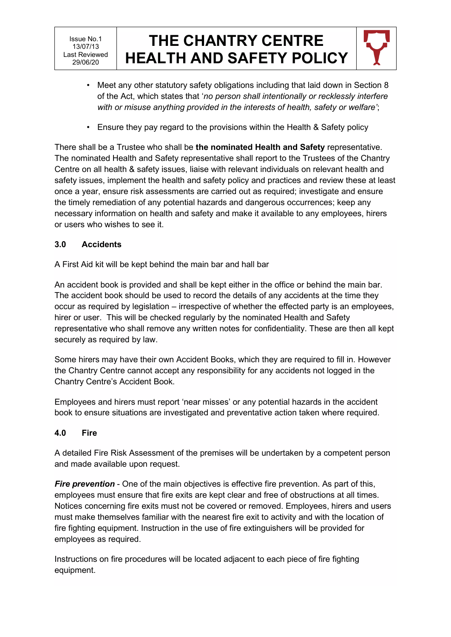

- Meet any other statutory safety obligations including that laid down in Section 8 of the Act, which states that '*no person shall intentionally or recklessly interfere with or misuse anything provided in the interests of health, safety or welfare'*;
- Ensure they pay regard to the provisions within the Health & Safety policy

There shall be a Trustee who shall be **the nominated Health and Safety** representative. The nominated Health and Safety representative shall report to the Trustees of the Chantry Centre on all health & safety issues, liaise with relevant individuals on relevant health and safety issues, implement the health and safety policy and practices and review these at least once a year, ensure risk assessments are carried out as required; investigate and ensure the timely remediation of any potential hazards and dangerous occurrences; keep any necessary information on health and safety and make it available to any employees, hirers or users who wishes to see it.

## **3.0 Accidents**

A First Aid kit will be kept behind the main bar and hall bar

An accident book is provided and shall be kept either in the office or behind the main bar. The accident book should be used to record the details of any accidents at the time they occur as required by legislation – irrespective of whether the effected party is an employees, hirer or user. This will be checked regularly by the nominated Health and Safety representative who shall remove any written notes for confidentiality. These are then all kept securely as required by law.

Some hirers may have their own Accident Books, which they are required to fill in. However the Chantry Centre cannot accept any responsibility for any accidents not logged in the Chantry Centre's Accident Book.

Employees and hirers must report 'near misses' or any potential hazards in the accident book to ensure situations are investigated and preventative action taken where required.

## **4.0 Fire**

A detailed Fire Risk Assessment of the premises will be undertaken by a competent person and made available upon request.

*Fire prevention* - One of the main objectives is effective fire prevention. As part of this, employees must ensure that fire exits are kept clear and free of obstructions at all times. Notices concerning fire exits must not be covered or removed. Employees, hirers and users must make themselves familiar with the nearest fire exit to activity and with the location of fire fighting equipment. Instruction in the use of fire extinguishers will be provided for employees as required.

Instructions on fire procedures will be located adjacent to each piece of fire fighting equipment.